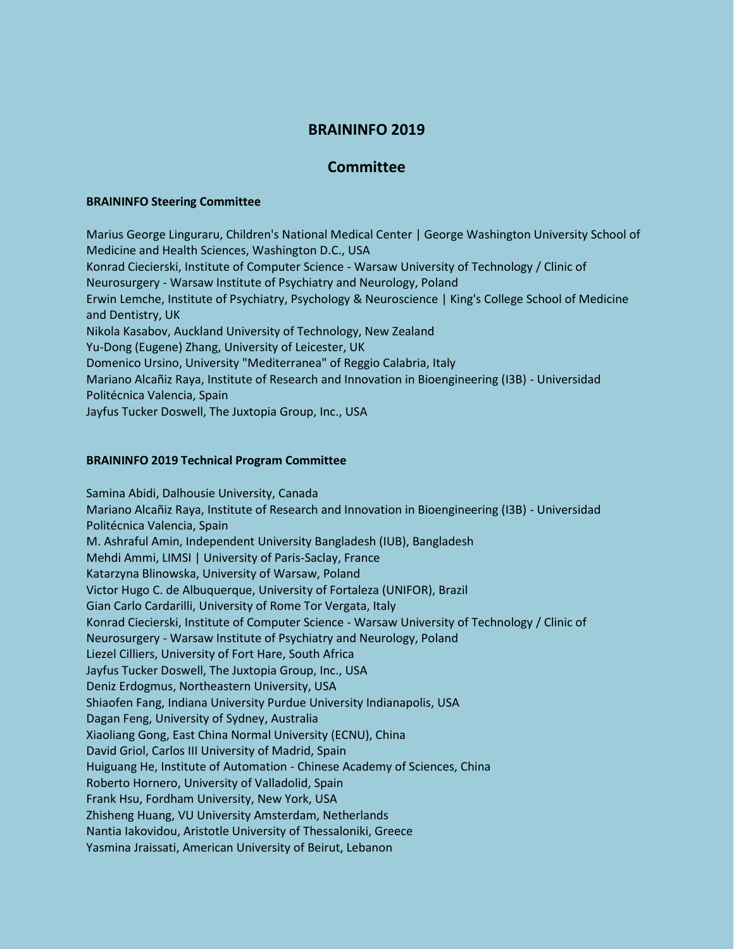## **BRAININFO 2019**

## **Committee**

## **BRAININFO Steering Committee**

Marius George Linguraru, Children's National Medical Center | George Washington University School of Medicine and Health Sciences, Washington D.C., USA Konrad Ciecierski, Institute of Computer Science - Warsaw University of Technology / Clinic of Neurosurgery - Warsaw Institute of Psychiatry and Neurology, Poland Erwin Lemche, Institute of Psychiatry, Psychology & Neuroscience | King's College School of Medicine and Dentistry, UK Nikola Kasabov, Auckland University of Technology, New Zealand Yu-Dong (Eugene) Zhang, University of Leicester, UK Domenico Ursino, University "Mediterranea" of Reggio Calabria, Italy Mariano Alcañiz Raya, Institute of Research and Innovation in Bioengineering (I3B) - Universidad Politécnica Valencia, Spain Jayfus Tucker Doswell, The Juxtopia Group, Inc., USA

## **BRAININFO 2019 Technical Program Committee**

Samina Abidi, Dalhousie University, Canada Mariano Alcañiz Raya, Institute of Research and Innovation in Bioengineering (I3B) - Universidad Politécnica Valencia, Spain M. Ashraful Amin, Independent University Bangladesh (IUB), Bangladesh Mehdi Ammi, LIMSI | University of Paris-Saclay, France Katarzyna Blinowska, University of Warsaw, Poland Victor Hugo C. de Albuquerque, University of Fortaleza (UNIFOR), Brazil Gian Carlo Cardarilli, University of Rome Tor Vergata, Italy Konrad Ciecierski, Institute of Computer Science - Warsaw University of Technology / Clinic of Neurosurgery - Warsaw Institute of Psychiatry and Neurology, Poland Liezel Cilliers, University of Fort Hare, South Africa Jayfus Tucker Doswell, The Juxtopia Group, Inc., USA Deniz Erdogmus, Northeastern University, USA Shiaofen Fang, Indiana University Purdue University Indianapolis, USA Dagan Feng, University of Sydney, Australia Xiaoliang Gong, East China Normal University (ECNU), China David Griol, Carlos III University of Madrid, Spain Huiguang He, Institute of Automation - Chinese Academy of Sciences, China Roberto Hornero, University of Valladolid, Spain Frank Hsu, Fordham University, New York, USA Zhisheng Huang, VU University Amsterdam, Netherlands Nantia Iakovidou, Aristotle University of Thessaloniki, Greece Yasmina Jraissati, American University of Beirut, Lebanon